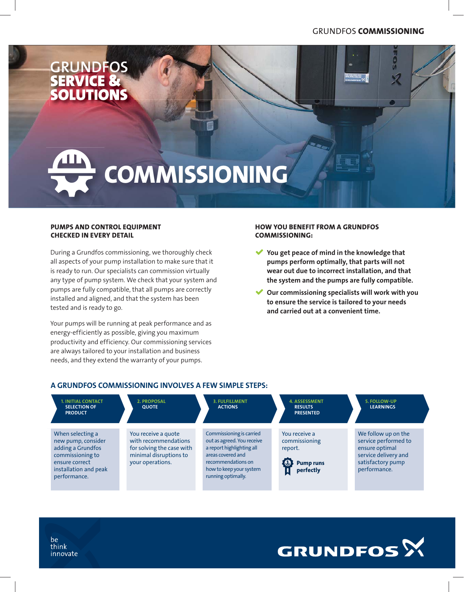$\frac{1}{9}$ 

Í



# **COMMISSIONING**

# **PUMPS AND CONTROL EQUIPMENT CHECKED IN EVERY DETAIL**

During a Grundfos commissioning, we thoroughly check all aspects of your pump installation to make sure that it is ready to run. Our specialists can commission virtually any type of pump system. We check that your system and pumps are fully compatible, that all pumps are correctly installed and aligned, and that the system has been tested and is ready to go.

Your pumps will be running at peak performance and as energy-efficiently as possible, giving you maximum productivity and efficiency. Our commissioning services are always tailored to your installation and business needs, and they extend the warranty of your pumps.

### **HOW YOU BENEFIT FROM A GRUNDFOS COMMISSIONING:**

- $\blacktriangledown$  **You get peace of mind in the knowledge that pumps perform optimally, that parts will not wear out due to incorrect installation, and that the system and the pumps are fully compatible.**
- $\checkmark$  **Our commissioning specialists will work with you to ensure the service is tailored to your needs and carried out at a convenient time.**

**GRUNDFOS**<sup>X</sup>

# **A GRUNDFOS COMMISSIONING INVOLVES A FEW SIMPLE STEPS:**

| <b>1. INITIAL CONTACT</b><br><b>SELECTION OF</b><br><b>PRODUCT</b>                                                                         | <b>2. PROPOSAL</b><br><b>QUOTE</b>                                                                                     | <b>3. FULFILLMENT</b><br><b>ACTIONS</b>                                                                                                                                         | <b>4. ASSESSMENT</b><br><b>RESULTS</b><br><b>PRESENTED</b>                              | 5. FOLLOW-UP<br><b>LEARNINGS</b>                                                                                           |
|--------------------------------------------------------------------------------------------------------------------------------------------|------------------------------------------------------------------------------------------------------------------------|---------------------------------------------------------------------------------------------------------------------------------------------------------------------------------|-----------------------------------------------------------------------------------------|----------------------------------------------------------------------------------------------------------------------------|
| When selecting a<br>new pump, consider<br>adding a Grundfos<br>commissioning to<br>ensure correct<br>installation and peak<br>performance. | You receive a quote<br>with recommendations<br>for solving the case with<br>minimal disruptions to<br>your operations. | Commissioning is carried<br>out as agreed. You receive<br>a report highlighting all<br>areas covered and<br>recommendations on<br>how to keep your system<br>running optimally. | You receive a<br>commissioning<br>report.<br>$\bullet$<br><b>Pump runs</b><br>perfectly | We follow up on the<br>service performed to<br>ensure optimal<br>service delivery and<br>satisfactory pump<br>performance. |